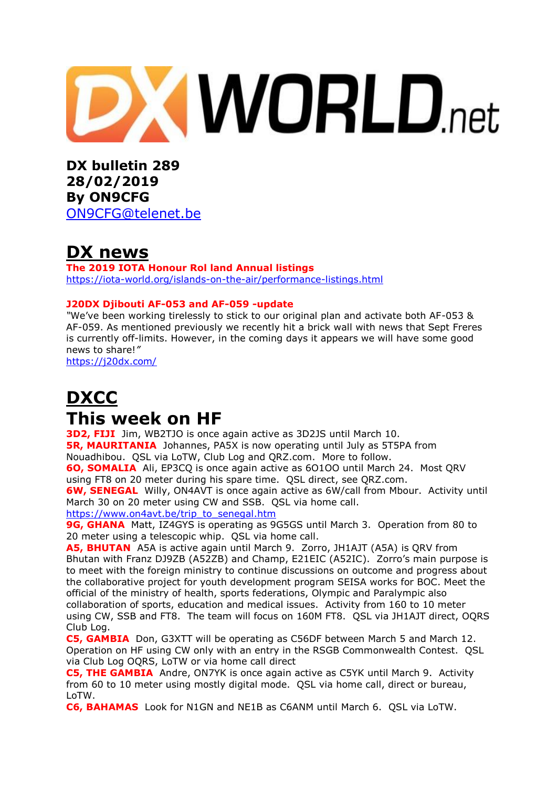# **XWORLD.net**

**DX bulletin 289 28/02/2019 By ON9CFG**  [ON9CFG@telenet.be](mailto:ON9CFG@telenet.be)

# **DX news**

**The 2019 IOTA Honour Rol land Annual listings** <https://iota-world.org/islands-on-the-air/performance-listings.html>

## **J20DX Djibouti AF-053 and AF-059 -update**

*"*We've been working tirelessly to stick to our original plan and activate both AF-053 & AF-059. As mentioned previously we recently hit a brick wall with news that Sept Freres is currently off-limits. However, in the coming days it appears we will have some good news to share!*"*

<https://j20dx.com/>

## **DXCC This week on HF**

**3D2, FIJI** Jim, WB2TJO is once again active as 3D2JS until March 10. **5R, MAURITANIA** Johannes, PA5X is now operating until July as 5T5PA from

Nouadhibou. QSL via LoTW, Club Log and QRZ.com. More to follow.

**6O, SOMALIA** Ali, EP3CQ is once again active as 6O1OO until March 24. Most QRV using FT8 on 20 meter during his spare time. QSL direct, see QRZ.com.

**6W, SENEGAL** Willy, ON4AVT is once again active as 6W/call from Mbour. Activity until March 30 on 20 meter using CW and SSB. QSL via home call.

[https://www.on4avt.be/trip\\_to\\_senegal.htm](https://www.on4avt.be/trip_to_senegal.htm)

**9G, GHANA** Matt, IZ4GYS is operating as 9G5GS until March 3. Operation from 80 to 20 meter using a telescopic whip. QSL via home call.

**A5, BHUTAN** A5A is active again until March 9. Zorro, JH1AJT (A5A) is QRV from Bhutan with Franz DJ9ZB (A52ZB) and Champ, E21EIC (A52IC). Zorro's main purpose is to meet with the foreign ministry to continue discussions on outcome and progress about the collaborative project for youth development program SEISA works for BOC. Meet the official of the ministry of health, sports federations, Olympic and Paralympic also collaboration of sports, education and medical issues. Activity from 160 to 10 meter using CW, SSB and FT8. The team will focus on 160M FT8. QSL via JH1AJT direct, OQRS Club Log.

**C5, GAMBIA** Don, G3XTT will be operating as C56DF between March 5 and March 12. Operation on HF using CW only with an entry in the RSGB Commonwealth Contest. QSL via Club Log OQRS, LoTW or via home call direct

**C5, THE GAMBIA** Andre, ON7YK is once again active as C5YK until March 9. Activity from 60 to 10 meter using mostly digital mode. QSL via home call, direct or bureau, LoTW.

**C6, BAHAMAS** Look for N1GN and NE1B as C6ANM until March 6. QSL via LoTW.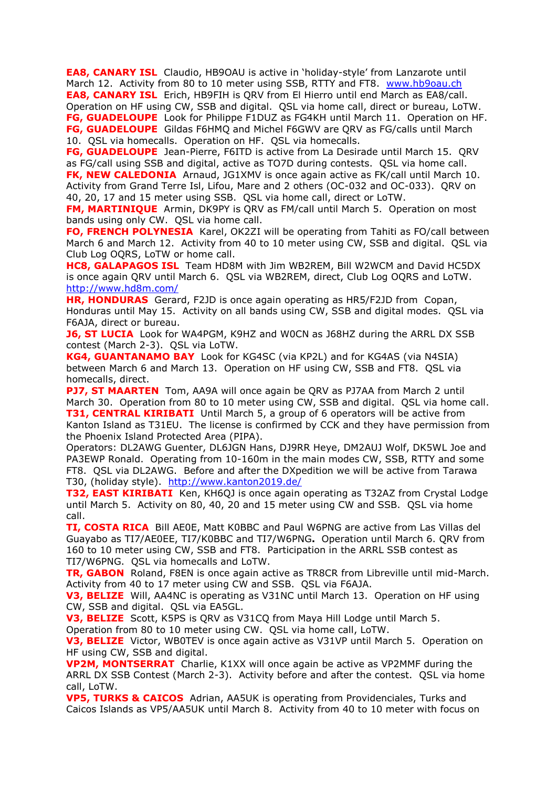**EA8, CANARY ISL** Claudio, HB9OAU is active in 'holiday-style' from Lanzarote until March 12. Activity from 80 to 10 meter using SSB, RTTY and FT8. [www.hb9oau.ch](http://www.hb9oau.ch/) **EA8, CANARY ISL** Erich, HB9FIH is QRV from El Hierro until end March as EA8/call. Operation on HF using CW, SSB and digital. QSL via home call, direct or bureau, LoTW. **FG, GUADELOUPE** Look for Philippe F1DUZ as FG4KH until March 11. Operation on HF. **FG, GUADELOUPE** Gildas F6HMQ and Michel F6GWV are QRV as FG/calls until March 10. QSL via homecalls. Operation on HF. QSL via homecalls.

**FG, GUADELOUPE** Jean-Pierre, F6ITD is active from La Desirade until March 15. QRV as FG/call using SSB and digital, active as TO7D during contests. QSL via home call. **FK, NEW CALEDONIA** Arnaud, JG1XMV is once again active as FK/call until March 10. Activity from Grand Terre Isl, Lifou, Mare and 2 others (OC-032 and OC-033). QRV on 40, 20, 17 and 15 meter using SSB. QSL via home call, direct or LoTW.

**FM, MARTINIQUE** Armin, DK9PY is QRV as FM/call until March 5. Operation on most bands using only CW. QSL via home call.

**FO, FRENCH POLYNESIA** Karel, OK2ZI will be operating from Tahiti as FO/call between March 6 and March 12. Activity from 40 to 10 meter using CW, SSB and digital. QSL via Club Log OQRS, LoTW or home call.

**HC8, GALAPAGOS ISL** Team HD8M with Jim WB2REM, Bill W2WCM and David HC5DX is once again QRV until March 6. QSL via WB2REM, direct, Club Log OQRS and LoTW. <http://www.hd8m.com/>

**HR, HONDURAS** Gerard, F2JD is once again operating as HR5/F2JD from Copan, Honduras until May 15. Activity on all bands using CW, SSB and digital modes. QSL via F6AJA, direct or bureau.

**J6, ST LUCIA** Look for WA4PGM, K9HZ and W0CN as J68HZ during the ARRL DX SSB contest (March 2-3). QSL via LoTW.

**KG4, GUANTANAMO BAY** Look for KG4SC (via KP2L) and for KG4AS (via N4SIA) between March 6 and March 13. Operation on HF using CW, SSB and FT8. QSL via homecalls, direct.

**PJ7, ST MAARTEN** Tom, AA9A will once again be QRV as PJ7AA from March 2 until March 30. Operation from 80 to 10 meter using CW, SSB and digital. QSL via home call. **T31, CENTRAL KIRIBATI** Until March 5, a group of 6 operators will be active from Kanton Island as T31EU. The license is confirmed by CCK and they have permission from the Phoenix Island Protected Area (PIPA).

Operators: DL2AWG Guenter, DL6JGN Hans, DJ9RR Heye, DM2AUJ Wolf, DK5WL Joe and PA3EWP Ronald. Operating from 10-160m in the main modes CW, SSB, RTTY and some FT8. QSL via DL2AWG. Before and after the DXpedition we will be active from Tarawa T30, (holiday style). <http://www.kanton2019.de/>

**T32, EAST KIRIBATI** Ken, KH6QJ is once again operating as T32AZ from Crystal Lodge until March 5. Activity on 80, 40, 20 and 15 meter using CW and SSB. QSL via home call.

**TI, COSTA RICA** Bill AE0E, Matt K0BBC and Paul W6PNG are active from Las Villas del Guayabo as TI7/AE0EE, TI7/K0BBC and TI7/W6PNG**.** Operation until March 6. QRV from 160 to 10 meter using CW, SSB and FT8. Participation in the ARRL SSB contest as TI7/W6PNG. QSL via homecalls and LoTW.

**TR, GABON** Roland, F8EN is once again active as TR8CR from Libreville until mid-March. Activity from 40 to 17 meter using CW and SSB. QSL via F6AJA.

**V3, BELIZE** Will, AA4NC is operating as V31NC until March 13. Operation on HF using CW, SSB and digital. QSL via EA5GL.

**V3, BELIZE** Scott, K5PS is QRV as V31CQ from Maya Hill Lodge until March 5.

Operation from 80 to 10 meter using CW. QSL via home call, LoTW.

**V3, BELIZE** Victor, WB0TEV is once again active as V31VP until March 5. Operation on HF using CW, SSB and digital.

**VP2M, MONTSERRAT** Charlie, K1XX will once again be active as VP2MMF during the ARRL DX SSB Contest (March 2-3). Activity before and after the contest. QSL via home call, LoTW.

**VP5, TURKS & CAICOS** Adrian, AA5UK is operating from Providenciales, Turks and Caicos Islands as VP5/AA5UK until March 8. Activity from 40 to 10 meter with focus on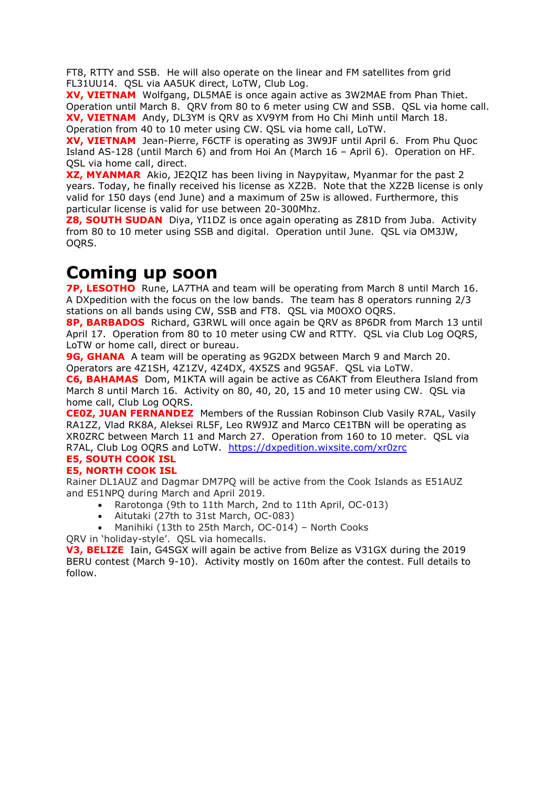FT8, RTTY and SSB. He will also operate on the linear and FM satellites from grid FL31UU14. QSL via AA5UK direct, LoTW, Club Log.

**XV, VIETNAM** Wolfgang, DL5MAE is once again active as 3W2MAE from Phan Thiet. Operation until March 8. QRV from 80 to 6 meter using CW and SSB. QSL via home call. **XV, VIETNAM** Andy, DL3YM is QRV as XV9YM from Ho Chi Minh until March 18. Operation from 40 to 10 meter using CW. QSL via home call, LoTW.

**XV, VIETNAM** Jean-Pierre, F6CTF is operating as 3W9JF until April 6. From Phu Quoc Island AS-128 (until March 6) and from Hoi An (March 16 – April 6). Operation on HF. QSL via home call, direct.

**XZ, MYANMAR** Akio, JE2QIZ has been living in Naypyitaw, Myanmar for the past 2 years. Today, he finally received his license as XZ2B. Note that the XZ2B license is only valid for 150 days (end June) and a maximum of 25w is allowed. Furthermore, this particular license is valid for use between 20-300Mhz.

**Z8, SOUTH SUDAN** Diya, YI1DZ is once again operating as Z81D from Juba. Activity from 80 to 10 meter using SSB and digital. Operation until June. QSL via OM3JW, OQRS.

## **Coming up soon**

**7P, LESOTHO** Rune, LA7THA and team will be operating from March 8 until March 16. A DXpedition with the focus on the low bands. The team has 8 operators running 2/3 stations on all bands using CW, SSB and FT8. QSL via M0OXO OQRS.

**8P, BARBADOS** Richard, G3RWL will once again be QRV as 8P6DR from March 13 until April 17. Operation from 80 to 10 meter using CW and RTTY. QSL via Club Log OQRS, LoTW or home call, direct or bureau.

**9G, GHANA** A team will be operating as 9G2DX between March 9 and March 20. Operators are 4Z1SH, 4Z1ZV, 4Z4DX, 4X5ZS and 9G5AF. QSL via LoTW.

**C6, BAHAMAS** Dom, M1KTA will again be active as C6AKT from Eleuthera Island from March 8 until March 16. Activity on 80, 40, 20, 15 and 10 meter using CW. QSL via home call, Club Log OQRS.

**CE0Z, JUAN FERNANDEZ** Members of the Russian Robinson Club Vasily R7AL, Vasily RA1ZZ, Vlad RK8A, Aleksei RL5F, Leo RW9JZ and Marco CE1TBN will be operating as XR0ZRC between March 11 and March 27. Operation from 160 to 10 meter. QSL via R7AL, Club Log OQRS and LoTW. <https://dxpedition.wixsite.com/xr0zrc>

#### **E5, SOUTH COOK ISL E5, NORTH COOK ISL**

Rainer DL1AUZ and Dagmar DM7PQ will be active from the Cook Islands as E51AUZ and E51NPQ during March and April 2019.

- Rarotonga (9th to 11th March, 2nd to 11th April, OC-013)
- Aitutaki (27th to 31st March, OC-083)
- Manihiki (13th to 25th March, OC-014) North Cooks
- QRV in 'holiday-style'. QSL via homecalls.

**V3, BELIZE** Iain, G4SGX will again be active from Belize as V31GX during the 2019 BERU contest (March 9-10). Activity mostly on 160m after the contest. Full details to follow.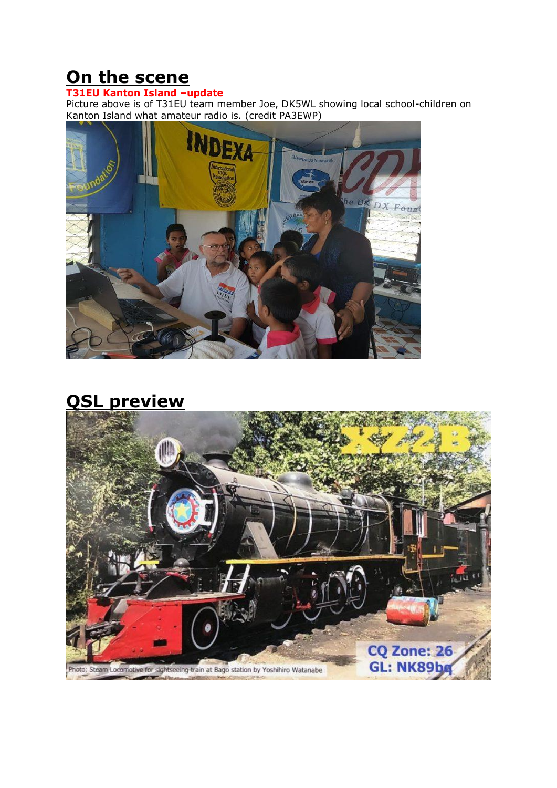# **On the scene**

#### **T31EU Kanton Island –update**

Picture above is of T31EU team member Joe, DK5WL showing local school-children on Kanton Island what amateur radio is. (credit PA3EWP)



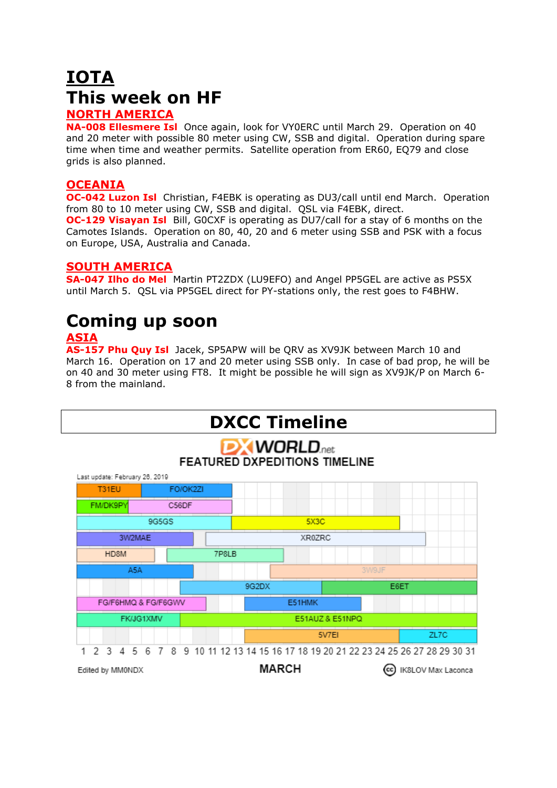# **IOTA This week on HF**

## **NORTH AMERICA**

**NA-008 Ellesmere Isl** Once again, look for VY0ERC until March 29. Operation on 40 and 20 meter with possible 80 meter using CW, SSB and digital. Operation during spare time when time and weather permits. Satellite operation from ER60, EQ79 and close grids is also planned.

### **OCEANIA**

**OC-042 Luzon Isl** Christian, F4EBK is operating as DU3/call until end March. Operation from 80 to 10 meter using CW, SSB and digital. QSL via F4EBK, direct. **OC-129 Visayan Isl** Bill, GOCXF is operating as DU7/call for a stay of 6 months on the Camotes Islands. Operation on 80, 40, 20 and 6 meter using SSB and PSK with a focus on Europe, USA, Australia and Canada.

## **SOUTH AMERICA**

**SA-047 Ilho do Mel** Martin PT2ZDX (LU9EFO) and Angel PP5GEL are active as PS5X until March 5. QSL via PP5GEL direct for PY-stations only, the rest goes to F4BHW.

# **Coming up soon**

## **ASIA**

**AS-157 Phu Quy Isl** Jacek, SP5APW will be QRV as XV9JK between March 10 and March 16. Operation on 17 and 20 meter using SSB only. In case of bad prop, he will be on 40 and 30 meter using FT8. It might be possible he will sign as XV9JK/P on March 6- 8 from the mainland.

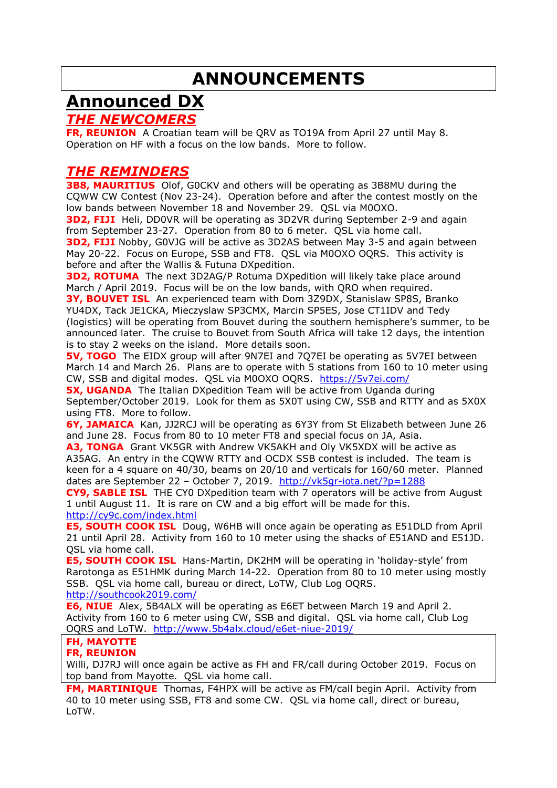# **ANNOUNCEMENTS**

# **Announced DX**

## *THE NEWCOMERS*

**FR, REUNION** A Croatian team will be QRV as TO19A from April 27 until May 8. Operation on HF with a focus on the low bands. More to follow.

## *THE REMINDERS*

**3B8, MAURITIUS** Olof, G0CKV and others will be operating as 3B8MU during the CQWW CW Contest (Nov 23-24). Operation before and after the contest mostly on the low bands between November 18 and November 29. QSL via M0OXO.

**3D2, FIJI** Heli, DD0VR will be operating as 3D2VR during September 2-9 and again from September 23-27. Operation from 80 to 6 meter. QSL via home call. **3D2, FIJI** Nobby, G0VJG will be active as 3D2AS between May 3-5 and again between May 20-22. Focus on Europe, SSB and FT8. QSL via M0OXO OQRS. This activity is before and after the Wallis & Futuna DXpedition.

**3D2, ROTUMA** The next 3D2AG/P Rotuma DXpedition will likely take place around March / April 2019. Focus will be on the low bands, with QRO when required.

**3Y, BOUVET ISL** An experienced team with Dom 3Z9DX, Stanislaw SP8S, Branko YU4DX, Tack JE1CKA, Mieczyslaw SP3CMX, Marcin SP5ES, Jose CT1IDV and Tedy (logistics) will be operating from Bouvet during the southern hemisphere's summer, to be announced later. The cruise to Bouvet from South Africa will take 12 days, the intention is to stay 2 weeks on the island. More details soon.

**5V, TOGO** The EIDX group will after 9N7EI and 7Q7EI be operating as 5V7EI between March 14 and March 26. Plans are to operate with 5 stations from 160 to 10 meter using CW, SSB and digital modes. QSL via M0OXO OQRS. <https://5v7ei.com/>

**5X, UGANDA** The Italian DXpedition Team will be active from Uganda during September/October 2019. Look for them as 5X0T using CW, SSB and RTTY and as 5X0X using FT8. More to follow.

**6Y, JAMAICA** Kan, JJ2RCJ will be operating as 6Y3Y from St Elizabeth between June 26 and June 28. Focus from 80 to 10 meter FT8 and special focus on JA, Asia.

**A3, TONGA** Grant VK5GR with Andrew VK5AKH and Oly VK5XDX will be active as A35AG. An entry in the CQWW RTTY and OCDX SSB contest is included. The team is keen for a 4 square on 40/30, beams on 20/10 and verticals for 160/60 meter. Planned dates are September 22 - October 7, 2019. <http://vk5gr-iota.net/?p=1288>

**CY9, SABLE ISL** THE CY0 DXpedition team with 7 operators will be active from August 1 until August 11. It is rare on CW and a big effort will be made for this. <http://cy9c.com/index.html>

**E5, SOUTH COOK ISL** Doug, W6HB will once again be operating as E51DLD from April 21 until April 28. Activity from 160 to 10 meter using the shacks of E51AND and E51JD. QSL via home call.

**E5, SOUTH COOK ISL** Hans-Martin, DK2HM will be operating in 'holiday-style' from Rarotonga as E51HMK during March 14-22. Operation from 80 to 10 meter using mostly SSB. QSL via home call, bureau or direct, LoTW, Club Log OQRS. <http://southcook2019.com/>

**E6, NIUE** Alex, 5B4ALX will be operating as E6ET between March 19 and April 2. Activity from 160 to 6 meter using CW, SSB and digital. QSL via home call, Club Log OQRS and LoTW. <http://www.5b4alx.cloud/e6et-niue-2019/>

## **FH, MAYOTTE**

#### **FR, REUNION**

Willi, DJ7RJ will once again be active as FH and FR/call during October 2019. Focus on top band from Mayotte. QSL via home call.

**FM, MARTINIQUE** Thomas, F4HPX will be active as FM/call begin April. Activity from 40 to 10 meter using SSB, FT8 and some CW. QSL via home call, direct or bureau, LoTW.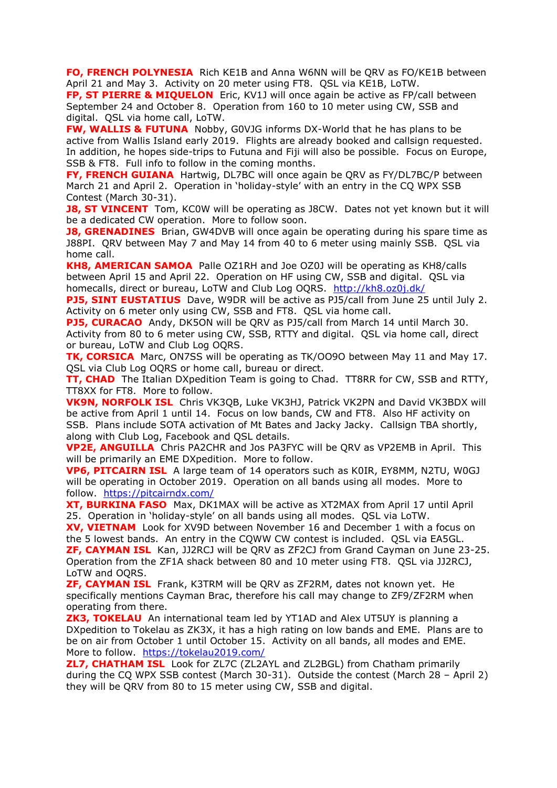**FO, FRENCH POLYNESIA** Rich KE1B and Anna W6NN will be QRV as FO/KE1B between April 21 and May 3. Activity on 20 meter using FT8. QSL via KE1B, LoTW.

**FP, ST PIERRE & MIQUELON** Eric, KV1J will once again be active as FP/call between September 24 and October 8. Operation from 160 to 10 meter using CW, SSB and digital. QSL via home call, LoTW.

**FW, WALLIS & FUTUNA** Nobby, G0VJG informs DX-World that he has plans to be active from Wallis Island early 2019. Flights are already booked and callsign requested. In addition, he hopes side-trips to Futuna and Fiji will also be possible. Focus on Europe, SSB & FT8. Full info to follow in the coming months.

**FY, FRENCH GUIANA** Hartwig, DL7BC will once again be QRV as FY/DL7BC/P between March 21 and April 2. Operation in 'holiday-style' with an entry in the CQ WPX SSB Contest (March 30-31).

**J8, ST VINCENT** Tom, KC0W will be operating as J8CW. Dates not yet known but it will be a dedicated CW operation. More to follow soon.

**J8, GRENADINES** Brian, GW4DVB will once again be operating during his spare time as J88PI. QRV between May 7 and May 14 from 40 to 6 meter using mainly SSB. QSL via home call.

**KH8, AMERICAN SAMOA** Palle OZ1RH and Joe OZ0J will be operating as KH8/calls between April 15 and April 22. Operation on HF using CW, SSB and digital. QSL via homecalls, direct or bureau, LoTW and Club Log OQRS. <http://kh8.oz0j.dk/>

**PJ5, SINT EUSTATIUS** Dave, W9DR will be active as PJ5/call from June 25 until July 2. Activity on 6 meter only using CW, SSB and FT8. QSL via home call.

**PJ5, CURACAO** Andy, DK5ON will be QRV as PJ5/call from March 14 until March 30. Activity from 80 to 6 meter using CW, SSB, RTTY and digital. QSL via home call, direct or bureau, LoTW and Club Log OQRS.

**TK, CORSICA** Marc, ON7SS will be operating as TK/OO9O between May 11 and May 17. QSL via Club Log OQRS or home call, bureau or direct.

**TT, CHAD** The Italian DXpedition Team is going to Chad. TT8RR for CW, SSB and RTTY, TT8XX for FT8. More to follow.

**VK9N, NORFOLK ISL** Chris VK3QB, Luke VK3HJ, Patrick VK2PN and David VK3BDX will be active from April 1 until 14. Focus on low bands, CW and FT8. Also HF activity on SSB. Plans include SOTA activation of [Mt Bates](https://en.wikipedia.org/wiki/Mount_Bates) and Jacky Jacky. Callsign TBA shortly, along with Club Log, Facebook and QSL details.

**VP2E, ANGUILLA** Chris PA2CHR and Jos PA3FYC will be QRV as VP2EMB in April. This will be primarily an EME DXpedition. More to follow.

**VP6, PITCAIRN ISL** A large team of 14 operators such as K0IR, EY8MM, N2TU, W0GJ will be operating in October 2019. Operation on all bands using all modes. More to follow. <https://pitcairndx.com/>

**XT, BURKINA FASO** Max, DK1MAX will be active as XT2MAX from April 17 until April 25. Operation in 'holiday-style' on all bands using all modes. QSL via LoTW.

**XV, VIETNAM** Look for XV9D between November 16 and December 1 with a focus on the 5 lowest bands. An entry in the CQWW CW contest is included. QSL via EA5GL. **ZF, CAYMAN ISL** Kan, JJ2RCJ will be QRV as ZF2CJ from Grand Cayman on June 23-25. Operation from the ZF1A shack between 80 and 10 meter using FT8. QSL via JJ2RCJ, LoTW and OQRS.

**ZF, CAYMAN ISL** Frank, K3TRM will be QRV as ZF2RM, dates not known yet. He specifically mentions Cayman Brac, therefore his call may change to ZF9/ZF2RM when operating from there.

**ZK3, TOKELAU** An international team led by YT1AD and Alex UT5UY is planning a DXpedition to Tokelau as ZK3X, it has a high rating on low bands and EME. Plans are to be on air from October 1 until October 15. Activity on all bands, all modes and EME. More to follow. <https://tokelau2019.com/>

**ZL7, CHATHAM ISL** Look for ZL7C (ZL2AYL and ZL2BGL) from Chatham primarily during the CQ WPX SSB contest (March 30-31). Outside the contest (March 28 – April 2) they will be QRV from 80 to 15 meter using CW, SSB and digital.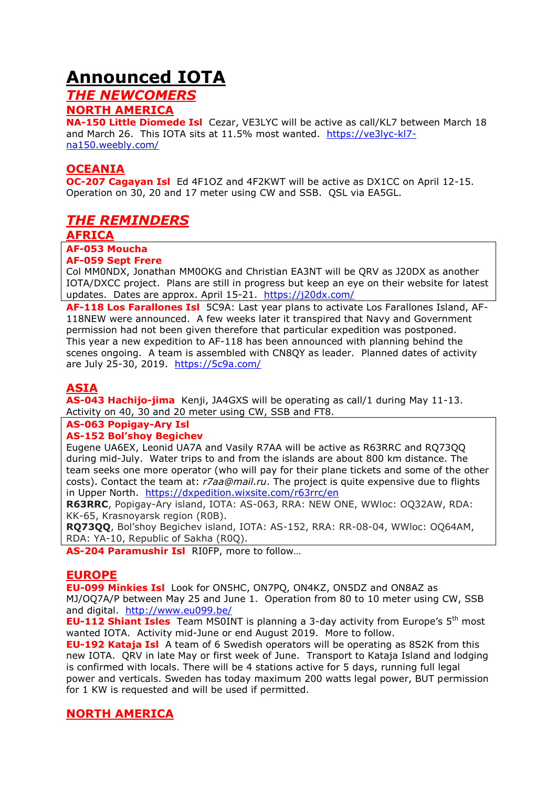## **Announced IOTA**

## *THE NEWCOMERS*

## **NORTH AMERICA**

**NA-150 Little Diomede Isl** Cezar, VE3LYC will be active as call/KL7 between March 18 and March 26. This IOTA sits at 11.5% most wanted. [https://ve3lyc-kl7](https://ve3lyc-kl7-na150.weebly.com/) [na150.weebly.com/](https://ve3lyc-kl7-na150.weebly.com/)

## **OCEANIA**

**OC-207 Cagayan Isl** Ed 4F1OZ and 4F2KWT will be active as DX1CC on April 12-15. Operation on 30, 20 and 17 meter using CW and SSB. QSL via EA5GL.

## *THE REMINDERS*

#### **AFRICA**

#### **AF-053 Moucha**

**AF-059 Sept Frere**

Col MM0NDX, Jonathan MM0OKG and Christian EA3NT will be QRV as J20DX as another IOTA/DXCC project. Plans are still in progress but keep an eye on their website for latest updates. Dates are approx. April 15-21. <https://j20dx.com/>

**AF-118 Los Farallones Isl** 5C9A: Last year plans to activate Los Farallones Island, AF-118NEW were announced. A few weeks later it transpired that Navy and Government permission had not been given therefore that particular expedition was postponed. This year a new expedition to AF-118 has been announced with planning behind the scenes ongoing. A team is assembled with CN8QY as leader. Planned dates of activity are July 25-30, 2019. <https://5c9a.com/>

## **ASIA**

**AS-043 Hachijo-jima** Kenji, JA4GXS will be operating as call/1 during May 11-13. Activity on 40, 30 and 20 meter using CW, SSB and FT8.

## **AS-063 Popigay-Ary Isl**

#### **AS-152 Bol'shoy Begichev**

Eugene UA6EX, Leonid UA7A and Vasily R7AA will be active as R63RRC and RQ73QQ during mid-July. Water trips to and from the islands are about 800 km distance. The team seeks one more operator (who will pay for their plane tickets and some of the other costs). Contact the team at: *r7aa@mail.ru*. The project is quite expensive due to flights in Upper North. <https://dxpedition.wixsite.com/r63rrc/en>

**R63RRC**, Popigay-Ary island, IOTA: AS-063, RRA: NEW ONE, WWloc: OQ32AW, RDA: KK-65, Krasnoyarsk region (R0B).

**RQ73QQ**, Bol'shoy Begichev island, IOTA: AS-152, RRA: RR-08-04, WWloc: OQ64AM, RDA: YA-10, Republic of Sakha (R0Q).

**AS-204 Paramushir Isl** RI0FP, more to follow…

#### **EUROPE**

**EU-099 Minkies Isl** Look for ON5HC, ON7PQ, ON4KZ, ON5DZ and ON8AZ as MJ/OQ7A/P between May 25 and June 1. Operation from 80 to 10 meter using CW, SSB and digital. <http://www.eu099.be/>

**EU-112 Shiant Isles** Team MS0INT is planning a 3-day activity from Europe's 5<sup>th</sup> most wanted IOTA. Activity mid-June or end August 2019. More to follow.

**EU-192 Kataja Isl** A team of 6 Swedish operators will be operating as 8S2K from this new IOTA. QRV in late May or first week of June. Transport to Kataja Island and lodging is confirmed with locals. There will be 4 stations active for 5 days, running full legal power and verticals. Sweden has today maximum 200 watts legal power, BUT permission for 1 KW is requested and will be used if permitted.

## **NORTH AMERICA**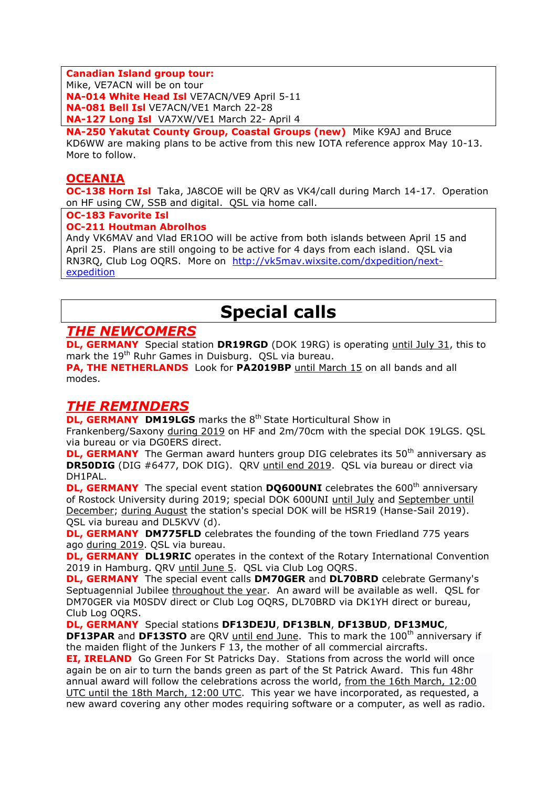**Canadian Island group tour:**

Mike, VE7ACN will be on tour

**NA-014 White Head Isl** VE7ACN/VE9 April 5-11 **NA-081 Bell Isl** VE7ACN/VE1 March 22-28 **NA-127 Long Isl** VA7XW/VE1 March 22- April 4

**NA-250 Yakutat County Group, Coastal Groups (new)** Mike K9AJ and Bruce KD6WW are making plans to be active from this new IOTA reference approx May 10-13. More to follow.

## **OCEANIA**

**OC-138 Horn Isl** Taka, JA8COE will be QRV as VK4/call during March 14-17. Operation on HF using CW, SSB and digital. QSL via home call.

#### **OC-183 Favorite Isl**

#### **OC-211 Houtman Abrolhos**

Andy VK6MAV and Vlad ER1OO will be active from both islands between April 15 and April 25. Plans are still ongoing to be active for 4 days from each island. QSL via RN3RQ, Club Log OQRS. More on [http://vk5mav.wixsite.com/dxpedition/next](http://vk5mav.wixsite.com/dxpedition/next-expedition)[expedition](http://vk5mav.wixsite.com/dxpedition/next-expedition)

# **Special calls**

## *THE NEWCOMERS*

**DL, GERMANY** Special station **DR19RGD** (DOK 19RG) is operating until July 31, this to mark the 19th Ruhr Games in Duisburg. QSL via bureau.

**PA, THE NETHERLANDS** Look for **PA2019BP** until March 15 on all bands and all modes.

## *THE REMINDERS*

**DL, GERMANY DM19LGS** marks the 8<sup>th</sup> State Horticultural Show in Frankenberg/Saxony during 2019 on HF and 2m/70cm with the special DOK 19LGS. QSL via bureau or via DG0ERS direct.

**DL, GERMANY** The German award hunters group DIG celebrates its 50<sup>th</sup> anniversary as **DR50DIG** (DIG #6477, DOK DIG). QRV until end 2019. QSL via bureau or direct via DH1PAL.

**DL, GERMANY** The special event station **DQ600UNI** celebrates the 600<sup>th</sup> anniversary of Rostock University during 2019; special DOK 600UNI until July and September until December; during August the station's special DOK will be HSR19 (Hanse-Sail 2019). QSL via bureau and DL5KVV (d).

**DL, GERMANY DM775FLD** celebrates the founding of the town Friedland 775 years ago during 2019. QSL via bureau.

**DL, GERMANY DL19RIC** operates in the context of the Rotary International Convention 2019 in Hamburg. QRV until June 5. QSL via Club Log OQRS.

**DL, GERMANY** The special event calls **DM70GER** and **DL70BRD** celebrate Germany's Septuagennial Jubilee throughout the year. An award will be available as well. QSL for DM70GER via M0SDV direct or Club Log OQRS, DL70BRD via DK1YH direct or bureau, Club Log OQRS.

**DL, GERMANY** Special stations **DF13DEJU**, **DF13BLN**, **DF13BUD**, **DF13MUC**, **DF13PAR** and DF13STO are QRV until end June. This to mark the 100<sup>th</sup> anniversary if the maiden flight of the Junkers F 13, the mother of all commercial aircrafts.

**EI, IRELAND** Go Green For St Patricks Day. Stations from across the world will once again be on air to turn the bands green as part of the St Patrick Award. This fun 48hr annual award will follow the celebrations across the world, from the 16th March, 12:00 UTC until the 18th March, 12:00 UTC. This year we have incorporated, as requested, a new award covering any other modes requiring software or a computer, as well as radio.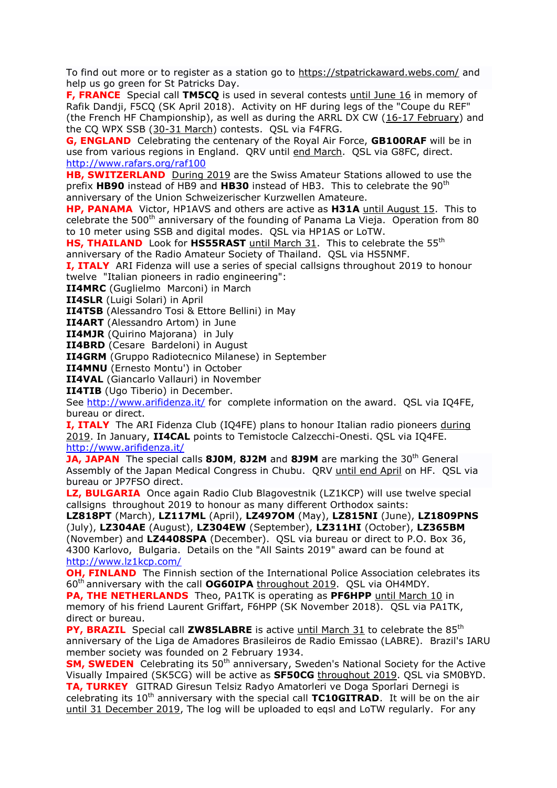To find out more or to register as a station go to <https://stpatrickaward.webs.com/> and help us go green for St Patricks Day.

**F, FRANCE** Special call **TM5CQ** is used in several contests until June 16 in memory of Rafik Dandji, F5CQ (SK April 2018). Activity on HF during legs of the "Coupe du REF" (the French HF Championship), as well as during the ARRL DX CW (16-17 February) and the CQ WPX SSB (30-31 March) contests. QSL via F4FRG.

**G, ENGLAND** Celebrating the centenary of the Royal Air Force, **GB100RAF** will be in use from various regions in England. QRV until end March. QSL via G8FC, direct. <http://www.rafars.org/raf100>

**HB, SWITZERLAND** During 2019 are the Swiss Amateur Stations allowed to use the prefix **HB90** instead of HB9 and **HB30** instead of HB3. This to celebrate the 90th anniversary of the Union Schweizerischer Kurzwellen Amateure.

**HP, PANAMA** Victor, HP1AVS and others are active as **H31A** until August 15. This to celebrate the 500<sup>th</sup> anniversary of the founding of Panama La Vieja. Operation from 80 to 10 meter using SSB and digital modes. QSL via HP1AS or LoTW.

**HS, THAILAND** Look for HS55RAST until March 31. This to celebrate the 55<sup>th</sup> anniversary of the Radio Amateur Society of Thailand. QSL via HS5NMF.

**I, ITALY** ARI Fidenza will use a series of special callsigns throughout 2019 to honour twelve "Italian pioneers in radio engineering":

**II4MRC** (Guglielmo Marconi) in March

**II4SLR** (Luigi Solari) in April

**II4TSB** (Alessandro Tosi & Ettore Bellini) in May

**II4ART** (Alessandro Artom) in June

**II4MJR** (Quirino Majorana) in July

**II4BRD** (Cesare Bardeloni) in August

**II4GRM** (Gruppo Radiotecnico Milanese) in September

**II4MNU** (Ernesto Montu') in October

**II4VAL** (Giancarlo Vallauri) in November

**II4TIB** (Ugo Tiberio) in December.

See<http://www.arifidenza.it/> for complete information on the award. QSL via IQ4FE, bureau or direct.

**I, ITALY** The ARI Fidenza Club (IQ4FE) plans to honour Italian radio pioneers during 2019. In January, **II4CAL** points to Temistocle Calzecchi-Onesti. QSL via IQ4FE. <http://www.arifidenza.it/>

**JA, JAPAN** The special calls **8J0M, 8J2M** and **8J9M** are marking the 30<sup>th</sup> General Assembly of the Japan Medical Congress in Chubu. QRV until end April on HF. QSL via bureau or JP7FSO direct.

**LZ, BULGARIA** Once again Radio Club Blagovestnik (LZ1KCP) will use twelve special callsigns throughout 2019 to honour as many different Orthodox saints:

**LZ818PT** (March), **LZ117ML** (April), **LZ497OM** (May), **LZ815NI** (June), **LZ1809PNS** (July), **LZ304AE** (August), **LZ304EW** (September), **LZ311HI** (October), **LZ365BM** (November) and **LZ4408SPA** (December). QSL via bureau or direct to P.O. Box 36, 4300 Karlovo, Bulgaria. Details on the "All Saints 2019" award can be found at <http://www.lz1kcp.com/>

**OH, FINLAND** The Finnish section of the International Police Association celebrates its 60th anniversary with the call **OG60IPA** throughout 2019. QSL via OH4MDY.

**PA, THE NETHERLANDS** Theo, PA1TK is operating as **PF6HPP** until March 10 in memory of his friend Laurent Griffart, F6HPP (SK November 2018). QSL via PA1TK, direct or bureau.

**PY, BRAZIL** Special call **ZW85LABRE** is active until March 31 to celebrate the 85<sup>th</sup> anniversary of the Liga de Amadores Brasileiros de Radio Emissao (LABRE). Brazil's IARU member society was founded on 2 February 1934.

**SM, SWEDEN** Celebrating its 50<sup>th</sup> anniversary, Sweden's National Society for the Active Visually Impaired (SK5CG) will be active as **SF50CG** throughout 2019. QSL via SM0BYD. **TA, TURKEY** GITRAD Giresun Telsiz Radyo Amatorleri ve Doga Sporlari Dernegi is celebrating its 10<sup>th</sup> anniversary with the special call **TC10GITRAD**. It will be on the air until 31 December 2019, The log will be uploaded to eqsl and LoTW regularly. For any